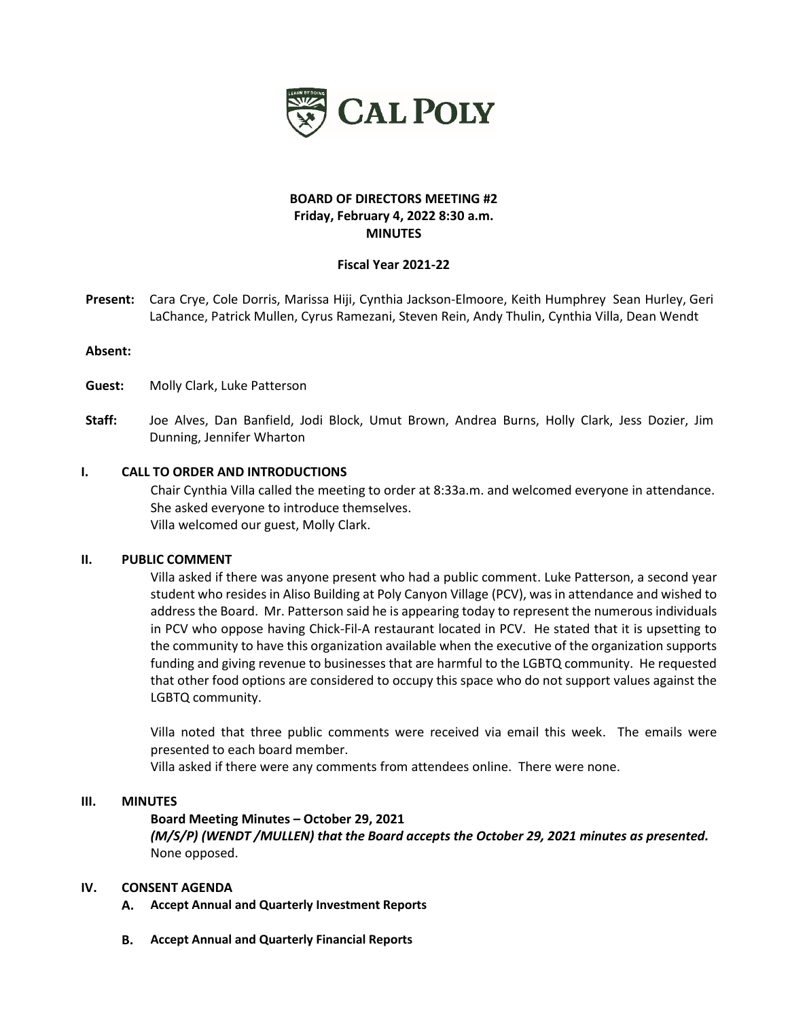

# **BOARD OF DIRECTORS MEETING #2 Friday, February 4, 2022 8:30 a.m. MINUTES**

## **Fiscal Year 2021-22**

**Present:** Cara Crye, Cole Dorris, Marissa Hiji, Cynthia Jackson-Elmoore, Keith Humphrey Sean Hurley, Geri LaChance, Patrick Mullen, Cyrus Ramezani, Steven Rein, Andy Thulin, Cynthia Villa, Dean Wendt

#### **Absent:**

**Guest:** Molly Clark, Luke Patterson

**Staff:** Joe Alves, Dan Banfield, Jodi Block, Umut Brown, Andrea Burns, Holly Clark, Jess Dozier, Jim Dunning, Jennifer Wharton

#### **I. CALL TO ORDER AND INTRODUCTIONS**

Chair Cynthia Villa called the meeting to order at 8:33a.m. and welcomed everyone in attendance. She asked everyone to introduce themselves. Villa welcomed our guest, Molly Clark.

#### **II. PUBLIC COMMENT**

Villa asked if there was anyone present who had a public comment. Luke Patterson, a second year student who resides in Aliso Building at Poly Canyon Village (PCV), was in attendance and wished to address the Board. Mr. Patterson said he is appearing today to represent the numerous individuals in PCV who oppose having Chick-Fil-A restaurant located in PCV. He stated that it is upsetting to the community to have this organization available when the executive of the organization supports funding and giving revenue to businesses that are harmful to the LGBTQ community. He requested that other food options are considered to occupy this space who do not support values against the LGBTQ community.

Villa noted that three public comments were received via email this week. The emails were presented to each board member.

Villa asked if there were any comments from attendees online. There were none.

#### **III. MINUTES**

**Board Meeting Minutes – October 29, 2021**

*(M/S/P) (WENDT /MULLEN) that the Board accepts the October 29, 2021 minutes as presented.* None opposed.

#### **IV. CONSENT AGENDA**

- **A. Accept Annual and Quarterly Investment Reports**
- **B. Accept Annual and Quarterly Financial Reports**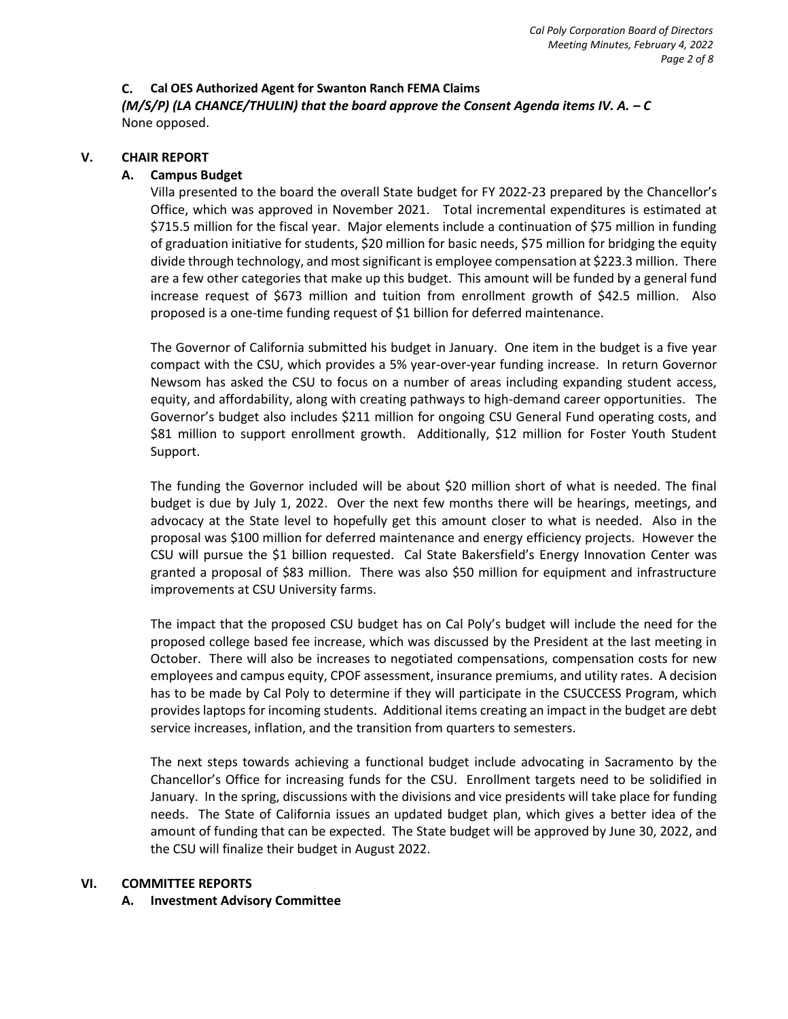## **C. Cal OES Authorized Agent for Swanton Ranch FEMA Claims**

*(M/S/P) (LA CHANCE/THULIN)* that the board approve the Consent Agenda items IV. A. – C None opposed.

# **V. CHAIR REPORT**

# **A. Campus Budget**

Villa presented to the board the overall State budget for FY 2022-23 prepared by the Chancellor's Office, which was approved in November 2021. Total incremental expenditures is estimated at \$715.5 million for the fiscal year. Major elements include a continuation of \$75 million in funding of graduation initiative for students, \$20 million for basic needs, \$75 million for bridging the equity divide through technology, and most significant is employee compensation at \$223.3 million. There are a few other categories that make up this budget. This amount will be funded by a general fund increase request of \$673 million and tuition from enrollment growth of \$42.5 million. Also proposed is a one-time funding request of \$1 billion for deferred maintenance.

The Governor of California submitted his budget in January. One item in the budget is a five year compact with the CSU, which provides a 5% year-over-year funding increase. In return Governor Newsom has asked the CSU to focus on a number of areas including expanding student access, equity, and affordability, along with creating pathways to high-demand career opportunities. The Governor's budget also includes \$211 million for ongoing CSU General Fund operating costs, and \$81 million to support enrollment growth. Additionally, \$12 million for Foster Youth Student Support.

The funding the Governor included will be about \$20 million short of what is needed. The final budget is due by July 1, 2022. Over the next few months there will be hearings, meetings, and advocacy at the State level to hopefully get this amount closer to what is needed. Also in the proposal was \$100 million for deferred maintenance and energy efficiency projects. However the CSU will pursue the \$1 billion requested. Cal State Bakersfield's Energy Innovation Center was granted a proposal of \$83 million. There was also \$50 million for equipment and infrastructure improvements at CSU University farms.

The impact that the proposed CSU budget has on Cal Poly's budget will include the need for the proposed college based fee increase, which was discussed by the President at the last meeting in October. There will also be increases to negotiated compensations, compensation costs for new employees and campus equity, CPOF assessment, insurance premiums, and utility rates. A decision has to be made by Cal Poly to determine if they will participate in the CSUCCESS Program, which provides laptops for incoming students. Additional items creating an impact in the budget are debt service increases, inflation, and the transition from quarters to semesters.

The next steps towards achieving a functional budget include advocating in Sacramento by the Chancellor's Office for increasing funds for the CSU. Enrollment targets need to be solidified in January. In the spring, discussions with the divisions and vice presidents will take place for funding needs. The State of California issues an updated budget plan, which gives a better idea of the amount of funding that can be expected. The State budget will be approved by June 30, 2022, and the CSU will finalize their budget in August 2022.

## **VI. COMMITTEE REPORTS**

## **A. Investment Advisory Committee**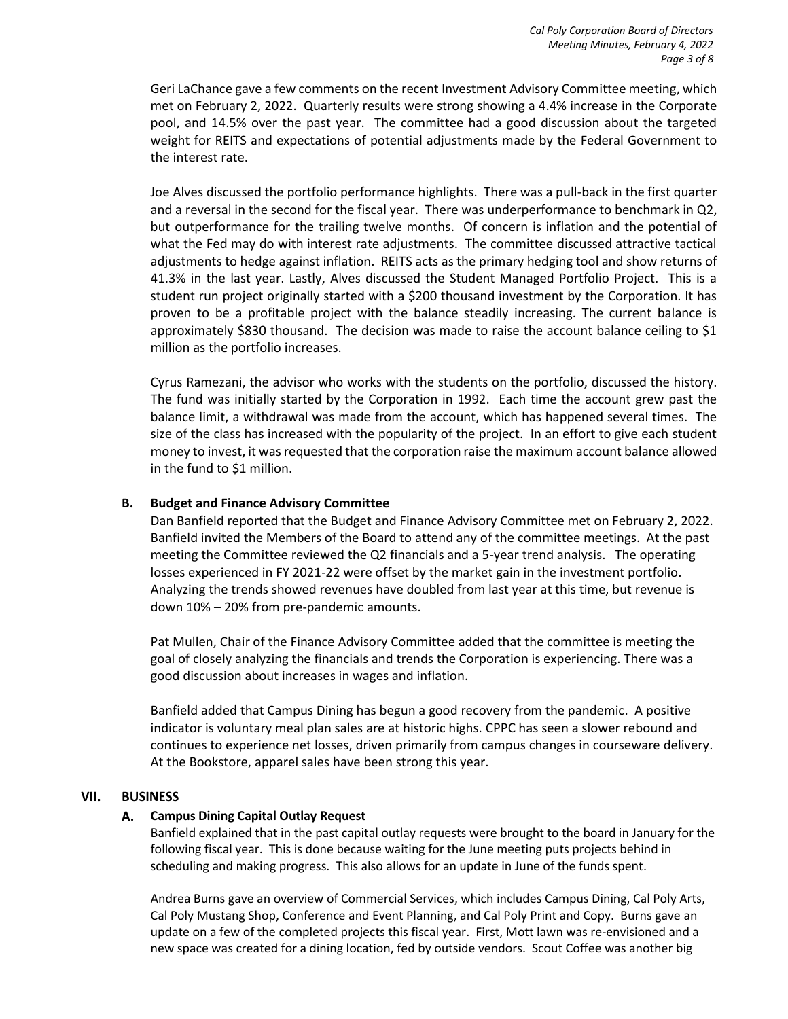Geri LaChance gave a few comments on the recent Investment Advisory Committee meeting, which met on February 2, 2022. Quarterly results were strong showing a 4.4% increase in the Corporate pool, and 14.5% over the past year. The committee had a good discussion about the targeted weight for REITS and expectations of potential adjustments made by the Federal Government to the interest rate.

Joe Alves discussed the portfolio performance highlights. There was a pull-back in the first quarter and a reversal in the second for the fiscal year. There was underperformance to benchmark in Q2, but outperformance for the trailing twelve months. Of concern is inflation and the potential of what the Fed may do with interest rate adjustments. The committee discussed attractive tactical adjustments to hedge against inflation. REITS acts as the primary hedging tool and show returns of 41.3% in the last year. Lastly, Alves discussed the Student Managed Portfolio Project. This is a student run project originally started with a \$200 thousand investment by the Corporation. It has proven to be a profitable project with the balance steadily increasing. The current balance is approximately \$830 thousand. The decision was made to raise the account balance ceiling to \$1 million as the portfolio increases.

Cyrus Ramezani, the advisor who works with the students on the portfolio, discussed the history. The fund was initially started by the Corporation in 1992. Each time the account grew past the balance limit, a withdrawal was made from the account, which has happened several times. The size of the class has increased with the popularity of the project. In an effort to give each student money to invest, it was requested that the corporation raise the maximum account balance allowed in the fund to \$1 million.

# **B. Budget and Finance Advisory Committee**

Dan Banfield reported that the Budget and Finance Advisory Committee met on February 2, 2022. Banfield invited the Members of the Board to attend any of the committee meetings. At the past meeting the Committee reviewed the Q2 financials and a 5-year trend analysis. The operating losses experienced in FY 2021-22 were offset by the market gain in the investment portfolio. Analyzing the trends showed revenues have doubled from last year at this time, but revenue is down 10% – 20% from pre-pandemic amounts.

Pat Mullen, Chair of the Finance Advisory Committee added that the committee is meeting the goal of closely analyzing the financials and trends the Corporation is experiencing. There was a good discussion about increases in wages and inflation.

Banfield added that Campus Dining has begun a good recovery from the pandemic. A positive indicator is voluntary meal plan sales are at historic highs. CPPC has seen a slower rebound and continues to experience net losses, driven primarily from campus changes in courseware delivery. At the Bookstore, apparel sales have been strong this year.

## **VII. BUSINESS**

## **A. Campus Dining Capital Outlay Request**

Banfield explained that in the past capital outlay requests were brought to the board in January for the following fiscal year. This is done because waiting for the June meeting puts projects behind in scheduling and making progress. This also allows for an update in June of the funds spent.

Andrea Burns gave an overview of Commercial Services, which includes Campus Dining, Cal Poly Arts, Cal Poly Mustang Shop, Conference and Event Planning, and Cal Poly Print and Copy. Burns gave an update on a few of the completed projects this fiscal year. First, Mott lawn was re-envisioned and a new space was created for a dining location, fed by outside vendors. Scout Coffee was another big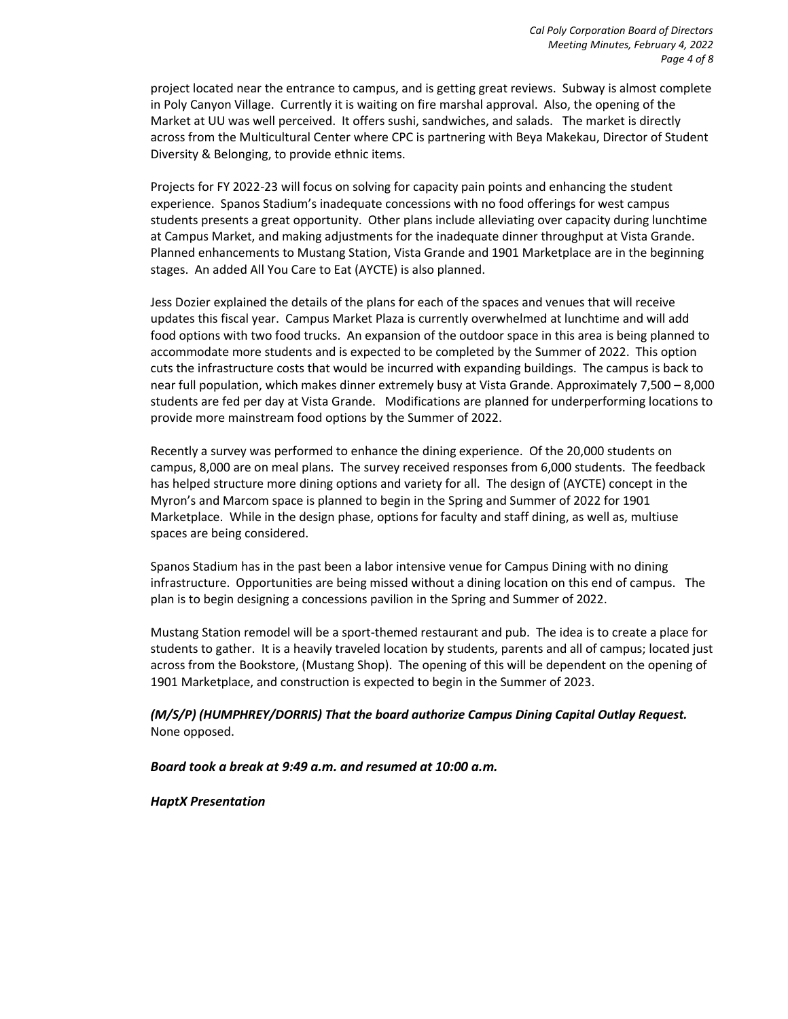project located near the entrance to campus, and is getting great reviews. Subway is almost complete in Poly Canyon Village. Currently it is waiting on fire marshal approval. Also, the opening of the Market at UU was well perceived. It offers sushi, sandwiches, and salads. The market is directly across from the Multicultural Center where CPC is partnering with Beya Makekau, Director of Student Diversity & Belonging, to provide ethnic items.

Projects for FY 2022-23 will focus on solving for capacity pain points and enhancing the student experience. Spanos Stadium's inadequate concessions with no food offerings for west campus students presents a great opportunity. Other plans include alleviating over capacity during lunchtime at Campus Market, and making adjustments for the inadequate dinner throughput at Vista Grande. Planned enhancements to Mustang Station, Vista Grande and 1901 Marketplace are in the beginning stages. An added All You Care to Eat (AYCTE) is also planned.

Jess Dozier explained the details of the plans for each of the spaces and venues that will receive updates this fiscal year. Campus Market Plaza is currently overwhelmed at lunchtime and will add food options with two food trucks. An expansion of the outdoor space in this area is being planned to accommodate more students and is expected to be completed by the Summer of 2022. This option cuts the infrastructure costs that would be incurred with expanding buildings. The campus is back to near full population, which makes dinner extremely busy at Vista Grande. Approximately 7,500 – 8,000 students are fed per day at Vista Grande. Modifications are planned for underperforming locations to provide more mainstream food options by the Summer of 2022.

Recently a survey was performed to enhance the dining experience. Of the 20,000 students on campus, 8,000 are on meal plans. The survey received responses from 6,000 students. The feedback has helped structure more dining options and variety for all. The design of (AYCTE) concept in the Myron's and Marcom space is planned to begin in the Spring and Summer of 2022 for 1901 Marketplace. While in the design phase, options for faculty and staff dining, as well as, multiuse spaces are being considered.

Spanos Stadium has in the past been a labor intensive venue for Campus Dining with no dining infrastructure. Opportunities are being missed without a dining location on this end of campus. The plan is to begin designing a concessions pavilion in the Spring and Summer of 2022.

Mustang Station remodel will be a sport-themed restaurant and pub. The idea is to create a place for students to gather. It is a heavily traveled location by students, parents and all of campus; located just across from the Bookstore, (Mustang Shop). The opening of this will be dependent on the opening of 1901 Marketplace, and construction is expected to begin in the Summer of 2023.

*(M/S/P) (HUMPHREY/DORRIS) That the board authorize Campus Dining Capital Outlay Request.*  None opposed.

*Board took a break at 9:49 a.m. and resumed at 10:00 a.m.*

*HaptX Presentation*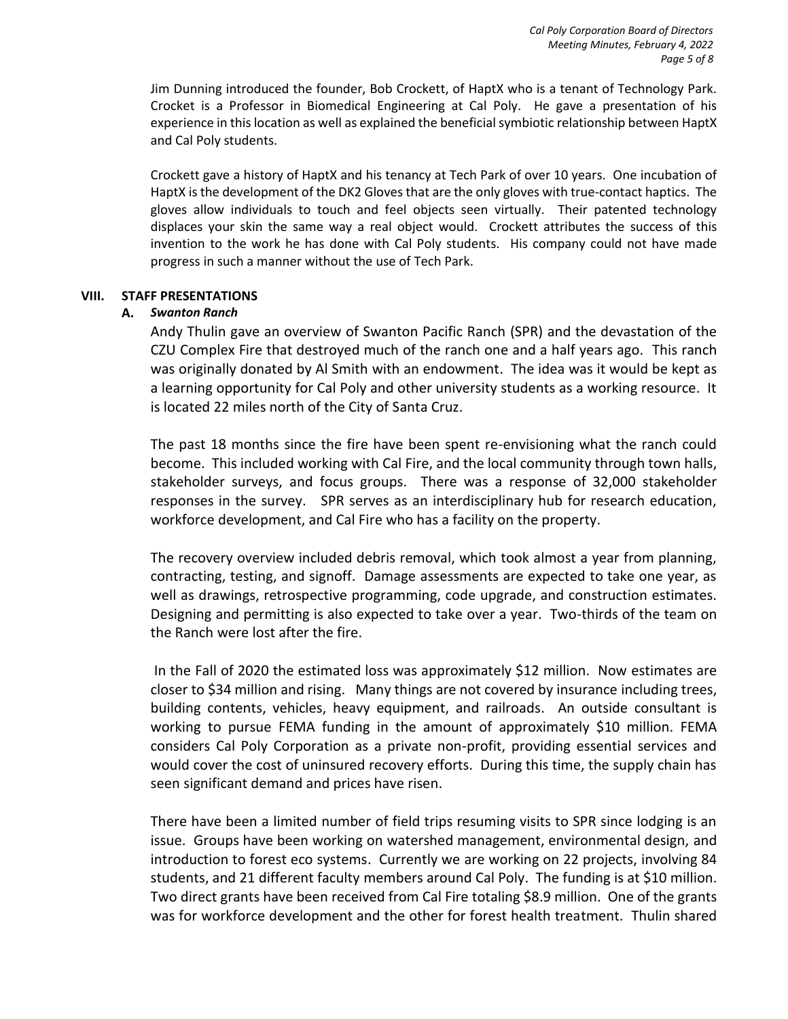Jim Dunning introduced the founder, Bob Crockett, of HaptX who is a tenant of Technology Park. Crocket is a Professor in Biomedical Engineering at Cal Poly. He gave a presentation of his experience in this location as well as explained the beneficial symbiotic relationship between HaptX and Cal Poly students.

Crockett gave a history of HaptX and his tenancy at Tech Park of over 10 years. One incubation of HaptX is the development of the DK2 Gloves that are the only gloves with true-contact haptics. The gloves allow individuals to touch and feel objects seen virtually. Their patented technology displaces your skin the same way a real object would. Crockett attributes the success of this invention to the work he has done with Cal Poly students. His company could not have made progress in such a manner without the use of Tech Park.

## **VIII. STAFF PRESENTATIONS**

# **A.** *Swanton Ranch*

Andy Thulin gave an overview of Swanton Pacific Ranch (SPR) and the devastation of the CZU Complex Fire that destroyed much of the ranch one and a half years ago. This ranch was originally donated by Al Smith with an endowment. The idea was it would be kept as a learning opportunity for Cal Poly and other university students as a working resource. It is located 22 miles north of the City of Santa Cruz.

The past 18 months since the fire have been spent re-envisioning what the ranch could become. This included working with Cal Fire, and the local community through town halls, stakeholder surveys, and focus groups. There was a response of 32,000 stakeholder responses in the survey. SPR serves as an interdisciplinary hub for research education, workforce development, and Cal Fire who has a facility on the property.

The recovery overview included debris removal, which took almost a year from planning, contracting, testing, and signoff. Damage assessments are expected to take one year, as well as drawings, retrospective programming, code upgrade, and construction estimates. Designing and permitting is also expected to take over a year. Two-thirds of the team on the Ranch were lost after the fire.

In the Fall of 2020 the estimated loss was approximately \$12 million. Now estimates are closer to \$34 million and rising. Many things are not covered by insurance including trees, building contents, vehicles, heavy equipment, and railroads. An outside consultant is working to pursue FEMA funding in the amount of approximately \$10 million. FEMA considers Cal Poly Corporation as a private non-profit, providing essential services and would cover the cost of uninsured recovery efforts. During this time, the supply chain has seen significant demand and prices have risen.

There have been a limited number of field trips resuming visits to SPR since lodging is an issue. Groups have been working on watershed management, environmental design, and introduction to forest eco systems. Currently we are working on 22 projects, involving 84 students, and 21 different faculty members around Cal Poly. The funding is at \$10 million. Two direct grants have been received from Cal Fire totaling \$8.9 million. One of the grants was for workforce development and the other for forest health treatment. Thulin shared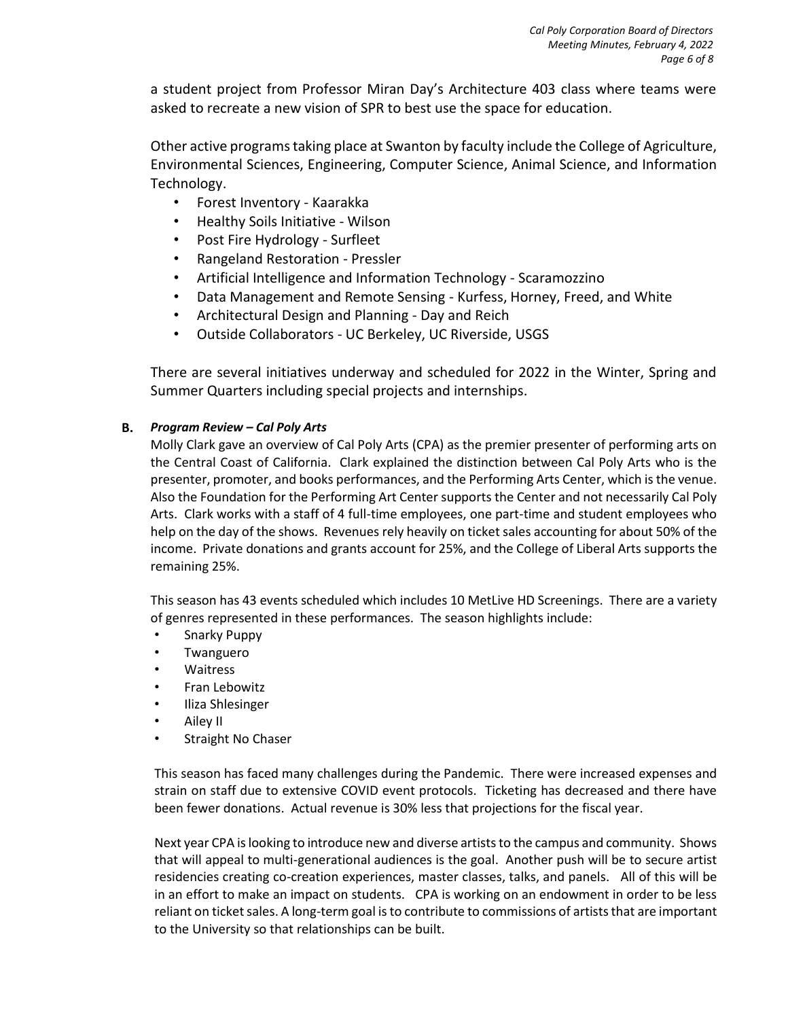a student project from Professor Miran Day's Architecture 403 class where teams were asked to recreate a new vision of SPR to best use the space for education.

Other active programs taking place at Swanton by faculty include the College of Agriculture, Environmental Sciences, Engineering, Computer Science, Animal Science, and Information Technology.

- Forest Inventory Kaarakka
- Healthy Soils Initiative Wilson
- Post Fire Hydrology Surfleet
- Rangeland Restoration Pressler
- Artificial Intelligence and Information Technology Scaramozzino
- Data Management and Remote Sensing Kurfess, Horney, Freed, and White
- Architectural Design and Planning Day and Reich
- Outside Collaborators UC Berkeley, UC Riverside, USGS

There are several initiatives underway and scheduled for 2022 in the Winter, Spring and Summer Quarters including special projects and internships.

# **B.** *Program Review – Cal Poly Arts*

Molly Clark gave an overview of Cal Poly Arts (CPA) as the premier presenter of performing arts on the Central Coast of California. Clark explained the distinction between Cal Poly Arts who is the presenter, promoter, and books performances, and the Performing Arts Center, which is the venue. Also the Foundation for the Performing Art Center supports the Center and not necessarily Cal Poly Arts. Clark works with a staff of 4 full-time employees, one part-time and student employees who help on the day of the shows. Revenues rely heavily on ticket sales accounting for about 50% of the income. Private donations and grants account for 25%, and the College of Liberal Arts supports the remaining 25%.

This season has 43 events scheduled which includes 10 MetLive HD Screenings. There are a variety of genres represented in these performances. The season highlights include:

- Snarky Puppy
- Twanguero
- Waitress
- Fran Lebowitz
- Iliza Shlesinger
- Ailey II
- Straight No Chaser

This season has faced many challenges during the Pandemic. There were increased expenses and strain on staff due to extensive COVID event protocols. Ticketing has decreased and there have been fewer donations. Actual revenue is 30% less that projections for the fiscal year.

Next year CPA islooking to introduce new and diverse artists to the campus and community. Shows that will appeal to multi-generational audiences is the goal. Another push will be to secure artist residencies creating co-creation experiences, master classes, talks, and panels. All of this will be in an effort to make an impact on students. CPA is working on an endowment in order to be less reliant on ticket sales. A long-term goal is to contribute to commissions of artists that are important to the University so that relationships can be built.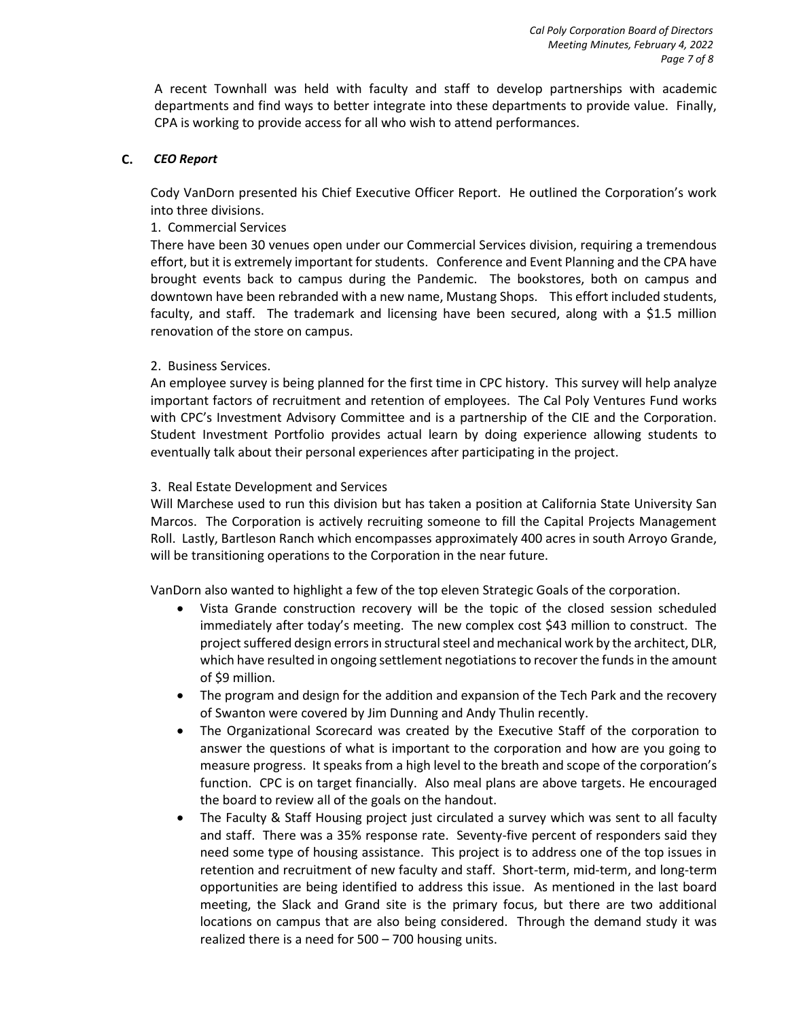A recent Townhall was held with faculty and staff to develop partnerships with academic departments and find ways to better integrate into these departments to provide value. Finally, CPA is working to provide access for all who wish to attend performances.

## **C.** *CEO Report*

Cody VanDorn presented his Chief Executive Officer Report. He outlined the Corporation's work into three divisions.

#### 1. Commercial Services

There have been 30 venues open under our Commercial Services division, requiring a tremendous effort, but it is extremely important for students. Conference and Event Planning and the CPA have brought events back to campus during the Pandemic. The bookstores, both on campus and downtown have been rebranded with a new name, Mustang Shops. This effort included students, faculty, and staff. The trademark and licensing have been secured, along with a \$1.5 million renovation of the store on campus.

#### 2. Business Services.

An employee survey is being planned for the first time in CPC history. This survey will help analyze important factors of recruitment and retention of employees. The Cal Poly Ventures Fund works with CPC's Investment Advisory Committee and is a partnership of the CIE and the Corporation. Student Investment Portfolio provides actual learn by doing experience allowing students to eventually talk about their personal experiences after participating in the project.

#### 3. Real Estate Development and Services

Will Marchese used to run this division but has taken a position at California State University San Marcos. The Corporation is actively recruiting someone to fill the Capital Projects Management Roll. Lastly, Bartleson Ranch which encompasses approximately 400 acres in south Arroyo Grande, will be transitioning operations to the Corporation in the near future.

VanDorn also wanted to highlight a few of the top eleven Strategic Goals of the corporation.

- Vista Grande construction recovery will be the topic of the closed session scheduled immediately after today's meeting. The new complex cost \$43 million to construct. The project suffered design errors in structural steel and mechanical work by the architect, DLR, which have resulted in ongoing settlement negotiations to recover the funds in the amount of \$9 million.
- The program and design for the addition and expansion of the Tech Park and the recovery of Swanton were covered by Jim Dunning and Andy Thulin recently.
- The Organizational Scorecard was created by the Executive Staff of the corporation to answer the questions of what is important to the corporation and how are you going to measure progress. It speaks from a high level to the breath and scope of the corporation's function. CPC is on target financially. Also meal plans are above targets. He encouraged the board to review all of the goals on the handout.
- The Faculty & Staff Housing project just circulated a survey which was sent to all faculty and staff. There was a 35% response rate. Seventy-five percent of responders said they need some type of housing assistance. This project is to address one of the top issues in retention and recruitment of new faculty and staff. Short-term, mid-term, and long-term opportunities are being identified to address this issue. As mentioned in the last board meeting, the Slack and Grand site is the primary focus, but there are two additional locations on campus that are also being considered. Through the demand study it was realized there is a need for 500 – 700 housing units.